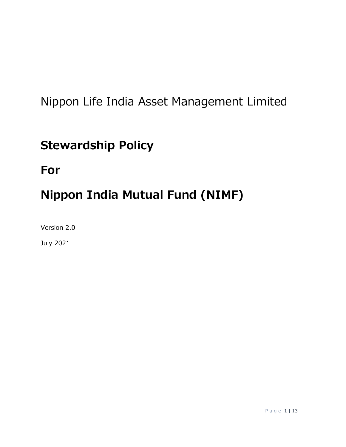## Nippon Life India Asset Management Limited

## **Stewardship Policy**

### **For**

# **Nippon India Mutual Fund (NIMF)**

Version 2.0

July 2021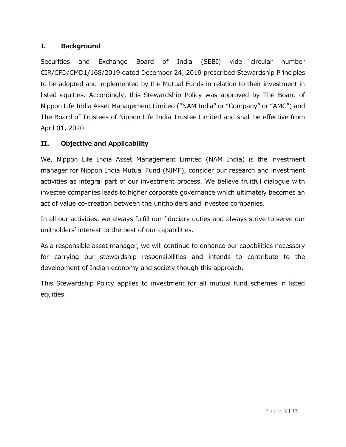#### **I. Background**

Securities and Exchange Board of India (SEBI) vide circular number CIR/CFD/CMD1/168/2019 dated December 24, 2019 prescribed Stewardship Principles to be adopted and implemented by the Mutual Funds in relation to their investment in listed equities. Accordingly, this Stewardship Policy was approved by The Board of Nippon Life India Asset Management Limited ("NAM India" or "Company" or "AMC") and The Board of Trustees of Nippon Life India Trustee Limited and shall be effective from April 01, 2020.

#### **II. Objective and Applicability**

We, Nippon Life India Asset Management Limited (NAM India) is the investment manager for Nippon India Mutual Fund (NIMF), consider our research and investment activities as integral part of our investment process. We believe fruitful dialogue with investee companies leads to higher corporate governance which ultimately becomes an act of value co-creation between the unitholders and investee companies.

In all our activities, we always fulfill our fiduciary duties and always strive to serve our unitholders' interest to the best of our capabilities.

As a responsible asset manager, we will continue to enhance our capabilities necessary for carrying our stewardship responsibilities and intends to contribute to the development of Indian economy and society though this approach.

This Stewardship Policy applies to investment for all mutual fund schemes in listed equities.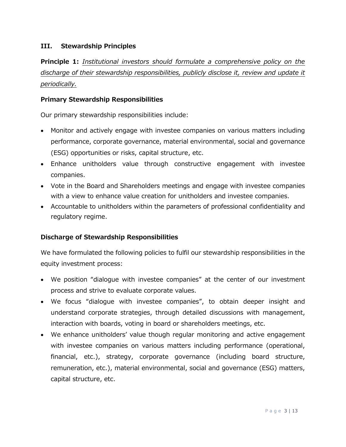#### **III. Stewardship Principles**

**Principle 1:** *Institutional investors should formulate a comprehensive policy on the discharge of their stewardship responsibilities, publicly disclose it, review and update it periodically.*

#### **Primary Stewardship Responsibilities**

Our primary stewardship responsibilities include:

- Monitor and actively engage with investee companies on various matters including performance, corporate governance, material environmental, social and governance (ESG) opportunities or risks, capital structure, etc.
- Enhance unitholders value through constructive engagement with investee companies.
- Vote in the Board and Shareholders meetings and engage with investee companies with a view to enhance value creation for unitholders and investee companies.
- Accountable to unitholders within the parameters of professional confidentiality and regulatory regime.

#### **Discharge of Stewardship Responsibilities**

We have formulated the following policies to fulfil our stewardship responsibilities in the equity investment process:

- We position "dialogue with investee companies" at the center of our investment process and strive to evaluate corporate values.
- We focus "dialogue with investee companies", to obtain deeper insight and understand corporate strategies, through detailed discussions with management, interaction with boards, voting in board or shareholders meetings, etc.
- We enhance unitholders' value though regular monitoring and active engagement with investee companies on various matters including performance (operational, financial, etc.), strategy, corporate governance (including board structure, remuneration, etc.), material environmental, social and governance (ESG) matters, capital structure, etc.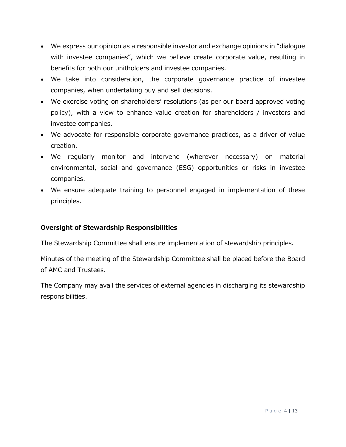- We express our opinion as a responsible investor and exchange opinions in "dialogue with investee companies", which we believe create corporate value, resulting in benefits for both our unitholders and investee companies.
- We take into consideration, the corporate governance practice of investee companies, when undertaking buy and sell decisions.
- We exercise voting on shareholders' resolutions (as per our board approved voting policy), with a view to enhance value creation for shareholders / investors and investee companies.
- We advocate for responsible corporate governance practices, as a driver of value creation.
- We regularly monitor and intervene (wherever necessary) on material environmental, social and governance (ESG) opportunities or risks in investee companies.
- We ensure adequate training to personnel engaged in implementation of these principles.

#### **Oversight of Stewardship Responsibilities**

The Stewardship Committee shall ensure implementation of stewardship principles.

Minutes of the meeting of the Stewardship Committee shall be placed before the Board of AMC and Trustees.

The Company may avail the services of external agencies in discharging its stewardship responsibilities.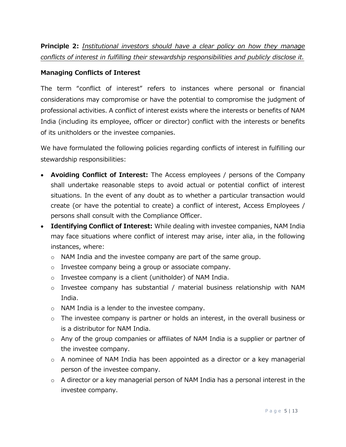**Principle 2:** *Institutional investors should have a clear policy on how they manage conflicts of interest in fulfilling their stewardship responsibilities and publicly disclose it.*

#### **Managing Conflicts of Interest**

The term "conflict of interest" refers to instances where personal or financial considerations may compromise or have the potential to compromise the judgment of professional activities. A conflict of interest exists where the interests or benefits of NAM India (including its employee, officer or director) conflict with the interests or benefits of its unitholders or the investee companies.

We have formulated the following policies regarding conflicts of interest in fulfilling our stewardship responsibilities:

- **Avoiding Conflict of Interest:** The Access employees / persons of the Company shall undertake reasonable steps to avoid actual or potential conflict of interest situations. In the event of any doubt as to whether a particular transaction would create (or have the potential to create) a conflict of interest, Access Employees / persons shall consult with the Compliance Officer.
- **Identifying Conflict of Interest:** While dealing with investee companies, NAM India may face situations where conflict of interest may arise, inter alia, in the following instances, where:
	- o NAM India and the investee company are part of the same group.
	- o Investee company being a group or associate company.
	- o Investee company is a client (unitholder) of NAM India.
	- o Investee company has substantial / material business relationship with NAM India.
	- o NAM India is a lender to the investee company.
	- o The investee company is partner or holds an interest, in the overall business or is a distributor for NAM India.
	- $\circ$  Any of the group companies or affiliates of NAM India is a supplier or partner of the investee company.
	- $\circ$  A nominee of NAM India has been appointed as a director or a key managerial person of the investee company.
	- $\circ$  A director or a key managerial person of NAM India has a personal interest in the investee company.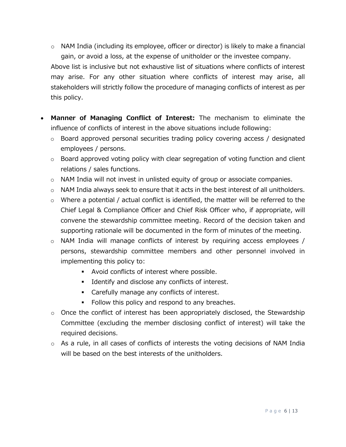o NAM India (including its employee, officer or director) is likely to make a financial gain, or avoid a loss, at the expense of unitholder or the investee company.

Above list is inclusive but not exhaustive list of situations where conflicts of interest may arise. For any other situation where conflicts of interest may arise, all stakeholders will strictly follow the procedure of managing conflicts of interest as per this policy.

- **Manner of Managing Conflict of Interest:** The mechanism to eliminate the influence of conflicts of interest in the above situations include following:
	- o Board approved personal securities trading policy covering access / designated employees / persons.
	- $\circ$  Board approved voting policy with clear segregation of voting function and client relations / sales functions.
	- o NAM India will not invest in unlisted equity of group or associate companies.
	- $\circ$  NAM India always seek to ensure that it acts in the best interest of all unitholders.
	- $\circ$  Where a potential / actual conflict is identified, the matter will be referred to the Chief Legal & Compliance Officer and Chief Risk Officer who, if appropriate, will convene the stewardship committee meeting. Record of the decision taken and supporting rationale will be documented in the form of minutes of the meeting.
	- o NAM India will manage conflicts of interest by requiring access employees / persons, stewardship committee members and other personnel involved in implementing this policy to:
		- Avoid conflicts of interest where possible.
		- Identify and disclose any conflicts of interest.
		- Carefully manage any conflicts of interest.
		- Follow this policy and respond to any breaches.
	- o Once the conflict of interest has been appropriately disclosed, the Stewardship Committee (excluding the member disclosing conflict of interest) will take the required decisions.
	- $\circ$  As a rule, in all cases of conflicts of interests the voting decisions of NAM India will be based on the best interests of the unitholders.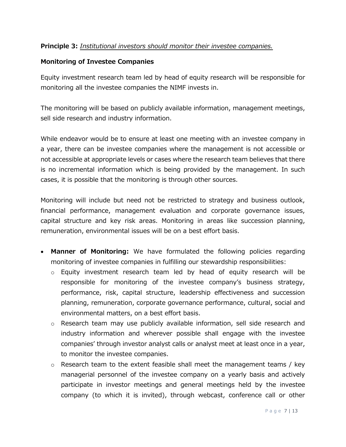#### **Principle 3:** *Institutional investors should monitor their investee companies.*

#### **Monitoring of Investee Companies**

Equity investment research team led by head of equity research will be responsible for monitoring all the investee companies the NIMF invests in.

The monitoring will be based on publicly available information, management meetings, sell side research and industry information.

While endeavor would be to ensure at least one meeting with an investee company in a year, there can be investee companies where the management is not accessible or not accessible at appropriate levels or cases where the research team believes that there is no incremental information which is being provided by the management. In such cases, it is possible that the monitoring is through other sources.

Monitoring will include but need not be restricted to strategy and business outlook, financial performance, management evaluation and corporate governance issues, capital structure and key risk areas. Monitoring in areas like succession planning, remuneration, environmental issues will be on a best effort basis.

- **Manner of Monitoring:** We have formulated the following policies regarding monitoring of investee companies in fulfilling our stewardship responsibilities:
	- $\circ$  Equity investment research team led by head of equity research will be responsible for monitoring of the investee company's business strategy, performance, risk, capital structure, leadership effectiveness and succession planning, remuneration, corporate governance performance, cultural, social and environmental matters, on a best effort basis.
	- $\circ$  Research team may use publicly available information, sell side research and industry information and wherever possible shall engage with the investee companies' through investor analyst calls or analyst meet at least once in a year, to monitor the investee companies.
	- $\circ$  Research team to the extent feasible shall meet the management teams / key managerial personnel of the investee company on a yearly basis and actively participate in investor meetings and general meetings held by the investee company (to which it is invited), through webcast, conference call or other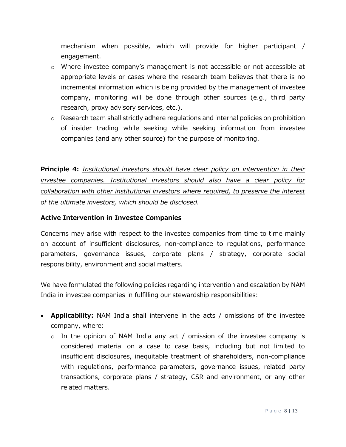mechanism when possible, which will provide for higher participant / engagement.

- $\circ$  Where investee company's management is not accessible or not accessible at appropriate levels or cases where the research team believes that there is no incremental information which is being provided by the management of investee company, monitoring will be done through other sources (e.g., third party research, proxy advisory services, etc.).
- o Research team shall strictly adhere regulations and internal policies on prohibition of insider trading while seeking while seeking information from investee companies (and any other source) for the purpose of monitoring.

**Principle 4:** *Institutional investors should have clear policy on intervention in their investee companies. Institutional investors should also have a clear policy for collaboration with other institutional investors where required, to preserve the interest of the ultimate investors, which should be disclosed.*

#### **Active Intervention in Investee Companies**

Concerns may arise with respect to the investee companies from time to time mainly on account of insufficient disclosures, non-compliance to regulations, performance parameters, governance issues, corporate plans / strategy, corporate social responsibility, environment and social matters.

We have formulated the following policies regarding intervention and escalation by NAM India in investee companies in fulfilling our stewardship responsibilities:

- **Applicability:** NAM India shall intervene in the acts / omissions of the investee company, where:
	- $\circ$  In the opinion of NAM India any act / omission of the investee company is considered material on a case to case basis, including but not limited to insufficient disclosures, inequitable treatment of shareholders, non-compliance with regulations, performance parameters, governance issues, related party transactions, corporate plans / strategy, CSR and environment, or any other related matters.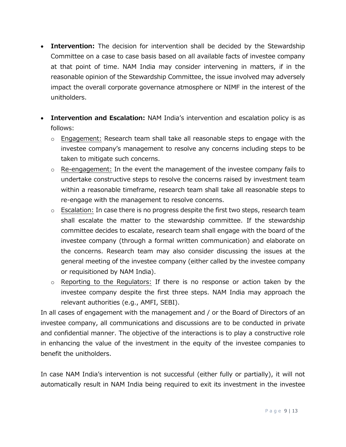- **Intervention:** The decision for intervention shall be decided by the Stewardship Committee on a case to case basis based on all available facts of investee company at that point of time. NAM India may consider intervening in matters, if in the reasonable opinion of the Stewardship Committee, the issue involved may adversely impact the overall corporate governance atmosphere or NIMF in the interest of the unitholders.
- **Intervention and Escalation:** NAM India's intervention and escalation policy is as follows:
	- $\circ$  Engagement: Research team shall take all reasonable steps to engage with the investee company's management to resolve any concerns including steps to be taken to mitigate such concerns.
	- o Re-engagement: In the event the management of the investee company fails to undertake constructive steps to resolve the concerns raised by investment team within a reasonable timeframe, research team shall take all reasonable steps to re-engage with the management to resolve concerns.
	- o Escalation: In case there is no progress despite the first two steps, research team shall escalate the matter to the stewardship committee. If the stewardship committee decides to escalate, research team shall engage with the board of the investee company (through a formal written communication) and elaborate on the concerns. Research team may also consider discussing the issues at the general meeting of the investee company (either called by the investee company or requisitioned by NAM India).
	- $\circ$  Reporting to the Regulators: If there is no response or action taken by the investee company despite the first three steps. NAM India may approach the relevant authorities (e.g., AMFI, SEBI).

In all cases of engagement with the management and / or the Board of Directors of an investee company, all communications and discussions are to be conducted in private and confidential manner. The objective of the interactions is to play a constructive role in enhancing the value of the investment in the equity of the investee companies to benefit the unitholders.

In case NAM India's intervention is not successful (either fully or partially), it will not automatically result in NAM India being required to exit its investment in the investee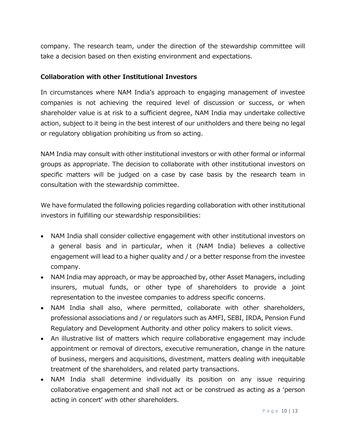company. The research team, under the direction of the stewardship committee will take a decision based on then existing environment and expectations.

#### **Collaboration with other Institutional Investors**

In circumstances where NAM India's approach to engaging management of investee companies is not achieving the required level of discussion or success, or when shareholder value is at risk to a sufficient degree, NAM India may undertake collective action, subject to it being in the best interest of our unitholders and there being no legal or regulatory obligation prohibiting us from so acting.

NAM India may consult with other institutional investors or with other formal or informal groups as appropriate. The decision to collaborate with other institutional investors on specific matters will be judged on a case by case basis by the research team in consultation with the stewardship committee.

We have formulated the following policies regarding collaboration with other institutional investors in fulfilling our stewardship responsibilities:

- NAM India shall consider collective engagement with other institutional investors on a general basis and in particular, when it (NAM India) believes a collective engagement will lead to a higher quality and / or a better response from the investee company.
- NAM India may approach, or may be approached by, other Asset Managers, including insurers, mutual funds, or other type of shareholders to provide a joint representation to the investee companies to address specific concerns.
- NAM India shall also, where permitted, collaborate with other shareholders, professional associations and / or regulators such as AMFI, SEBI, IRDA, Pension Fund Regulatory and Development Authority and other policy makers to solicit views.
- An illustrative list of matters which require collaborative engagement may include appointment or removal of directors, executive remuneration, change in the nature of business, mergers and acquisitions, divestment, matters dealing with inequitable treatment of the shareholders, and related party transactions.
- NAM India shall determine individually its position on any issue requiring collaborative engagement and shall not act or be construed as acting as a 'person acting in concert' with other shareholders.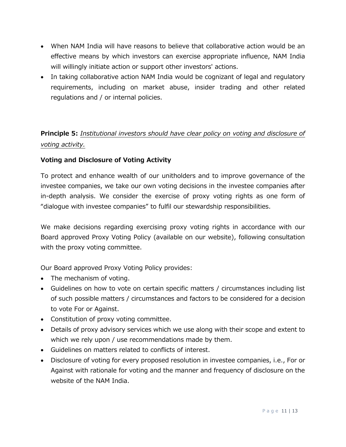- When NAM India will have reasons to believe that collaborative action would be an effective means by which investors can exercise appropriate influence, NAM India will willingly initiate action or support other investors' actions.
- In taking collaborative action NAM India would be cognizant of legal and regulatory requirements, including on market abuse, insider trading and other related regulations and / or internal policies.

### **Principle 5:** *Institutional investors should have clear policy on voting and disclosure of voting activity.*

#### **Voting and Disclosure of Voting Activity**

To protect and enhance wealth of our unitholders and to improve governance of the investee companies, we take our own voting decisions in the investee companies after in-depth analysis. We consider the exercise of proxy voting rights as one form of "dialogue with investee companies" to fulfil our stewardship responsibilities.

We make decisions regarding exercising proxy voting rights in accordance with our Board approved Proxy Voting Policy (available on our website), following consultation with the proxy voting committee.

Our Board approved Proxy Voting Policy provides:

- The mechanism of voting.
- Guidelines on how to vote on certain specific matters / circumstances including list of such possible matters / circumstances and factors to be considered for a decision to vote For or Against.
- Constitution of proxy voting committee.
- Details of proxy advisory services which we use along with their scope and extent to which we rely upon / use recommendations made by them.
- Guidelines on matters related to conflicts of interest.
- Disclosure of voting for every proposed resolution in investee companies, i.e., For or Against with rationale for voting and the manner and frequency of disclosure on the website of the NAM India.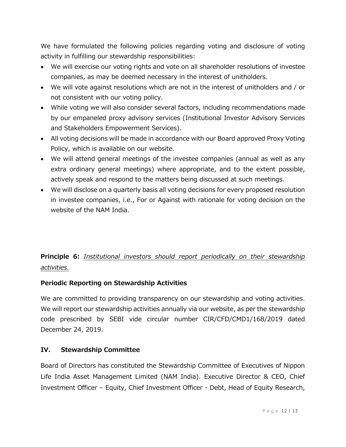We have formulated the following policies regarding voting and disclosure of voting activity in fulfilling our stewardship responsibilities:

- We will exercise our voting rights and vote on all shareholder resolutions of investee companies, as may be deemed necessary in the interest of unitholders.
- We will vote against resolutions which are not in the interest of unitholders and / or not consistent with our voting policy.
- While voting we will also consider several factors, including recommendations made by our empaneled proxy advisory services (Institutional Investor Advisory Services and Stakeholders Empowerment Services).
- All voting decisions will be made in accordance with our Board approved Proxy Voting Policy, which is available on our website.
- We will attend general meetings of the investee companies (annual as well as any extra ordinary general meetings) where appropriate, and to the extent possible, actively speak and respond to the matters being discussed at such meetings.
- We will disclose on a quarterly basis all voting decisions for every proposed resolution in investee companies, i.e., For or Against with rationale for voting decision on the website of the NAM India.

### **Principle 6:** *Institutional investors should report periodically on their stewardship activities.*

#### **Periodic Reporting on Stewardship Activities**

We are committed to providing transparency on our stewardship and voting activities. We will report our stewardship activities annually via our website, as per the stewardship code prescribed by SEBI vide circular number CIR/CFD/CMD1/168/2019 dated December 24, 2019.

#### **IV. Stewardship Committee**

Board of Directors has constituted the Stewardship Committee of Executives of Nippon Life India Asset Management Limited (NAM India). Executive Director & CEO, Chief Investment Officer – Equity, Chief Investment Officer - Debt, Head of Equity Research,